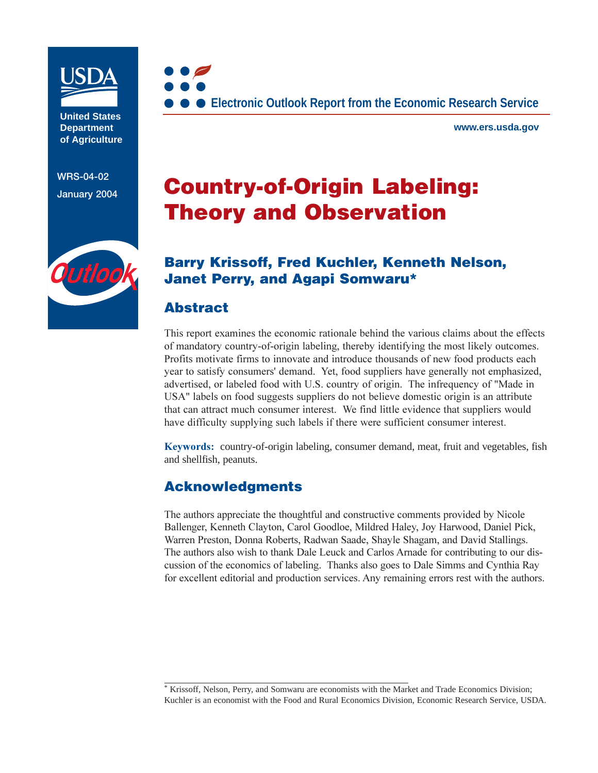

**United States Department of Agriculture**

**WRS-04-02**



**www.ers.usda.gov**

# **January 2004 Country-of-Origin Labeling: Theory and Observation**



### **Barry Krissoff, Fred Kuchler, Kenneth Nelson, Janet Perry, and Agapi Somwaru\***

### **Abstract**

This report examines the economic rationale behind the various claims about the effects of mandatory country-of-origin labeling, thereby identifying the most likely outcomes. Profits motivate firms to innovate and introduce thousands of new food products each year to satisfy consumers' demand. Yet, food suppliers have generally not emphasized, advertised, or labeled food with U.S. country of origin. The infrequency of "Made in USA" labels on food suggests suppliers do not believe domestic origin is an attribute that can attract much consumer interest. We find little evidence that suppliers would have difficulty supplying such labels if there were sufficient consumer interest.

Keywords: country-of-origin labeling, consumer demand, meat, fruit and vegetables, fish and shellfish, peanuts.

### **Acknowledgments**

The authors appreciate the thoughtful and constructive comments provided by Nicole Ballenger, Kenneth Clayton, Carol Goodloe, Mildred Haley, Joy Harwood, Daniel Pick, Warren Preston, Donna Roberts, Radwan Saade, Shayle Shagam, and David Stallings. The authors also wish to thank Dale Leuck and Carlos Arnade for contributing to our discussion of the economics of labeling. Thanks also goes to Dale Simms and Cynthia Ray for excellent editorial and production services. Any remaining errors rest with the authors.

<sup>\*</sup> Krissoff, Nelson, Perry, and Somwaru are economists with the Market and Trade Economics Division; Kuchler is an economist with the Food and Rural Economics Division, Economic Research Service, USDA.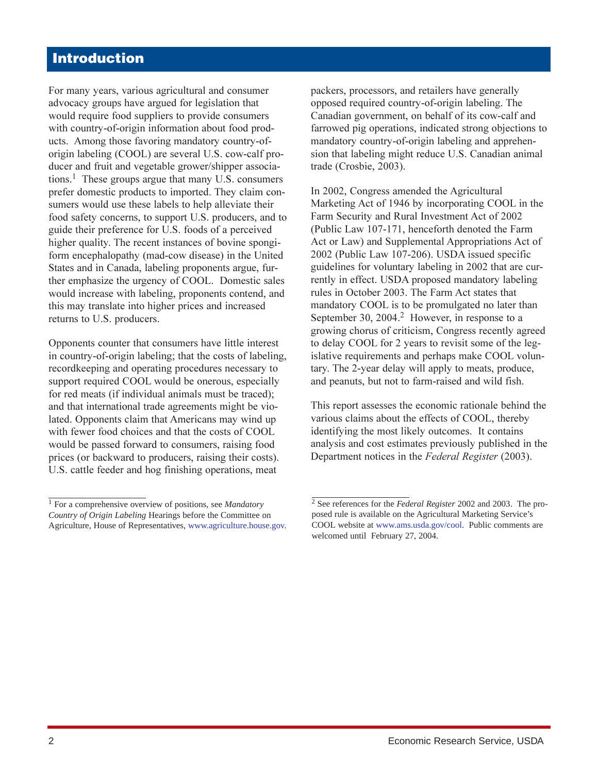# **Introduction**

For many years, various agricultural and consumer advocacy groups have argued for legislation that would require food suppliers to provide consumers with country-of-origin information about food products. Among those favoring mandatory country-oforigin labeling (COOL) are several U.S. cow-calf producer and fruit and vegetable grower/shipper associations.<sup>1</sup> These groups argue that many U.S. consumers prefer domestic products to imported. They claim consumers would use these labels to help alleviate their food safety concerns, to support U.S. producers, and to guide their preference for U.S. foods of a perceived higher quality. The recent instances of bovine spongiform encephalopathy (mad-cow disease) in the United States and in Canada, labeling proponents argue, further emphasize the urgency of COOL. Domestic sales would increase with labeling, proponents contend, and this may translate into higher prices and increased returns to U.S. producers.

Opponents counter that consumers have little interest in country-of-origin labeling; that the costs of labeling, recordkeeping and operating procedures necessary to support required COOL would be onerous, especially for red meats (if individual animals must be traced); and that international trade agreements might be violated. Opponents claim that Americans may wind up with fewer food choices and that the costs of COOL would be passed forward to consumers, raising food prices (or backward to producers, raising their costs). U.S. cattle feeder and hog finishing operations, meat

packers, processors, and retailers have generally opposed required country-of-origin labeling. The Canadian government, on behalf of its cow-calf and farrowed pig operations, indicated strong objections to mandatory country-of-origin labeling and apprehension that labeling might reduce U.S. Canadian animal trade (Crosbie, 2003).

In 2002, Congress amended the Agricultural Marketing Act of 1946 by incorporating COOL in the Farm Security and Rural Investment Act of 2002 (Public Law 107-171, henceforth denoted the Farm Act or Law) and Supplemental Appropriations Act of 2002 (Public Law 107-206). USDA issued specific guidelines for voluntary labeling in 2002 that are currently in effect. USDA proposed mandatory labeling rules in October 2003. The Farm Act states that mandatory COOL is to be promulgated no later than September 30, 2004.<sup>2</sup> However, in response to a growing chorus of criticism, Congress recently agreed to delay COOL for 2 years to revisit some of the legislative requirements and perhaps make COOL voluntary. The 2-year delay will apply to meats, produce, and peanuts, but not to farm-raised and wild fish.

This report assesses the economic rationale behind the various claims about the effects of COOL, thereby identifying the most likely outcomes. It contains analysis and cost estimates previously published in the Department notices in the Federal Register (2003).

<sup>1</sup> For a comprehensive overview of positions, see *Mandatory Country of Origin Labeling* Hearings before the Committee on Agriculture, House of Representatives, [www.agriculture.house.gov](http://www.agriculture.house.gov).

<sup>2</sup> See references for the *Federal Register* 2002 and 2003. The proposed rule is available on the Agricultural Marketing Service's COOL website at [www.ams.usda.gov/cool.](http://www.ams.usda.gov/cool/) Public comments are welcomed until February 27, 2004.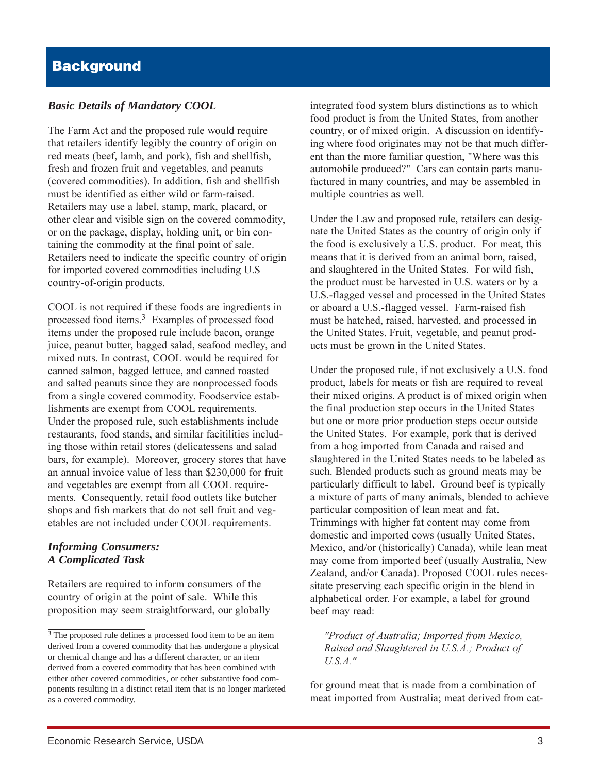#### *Basic Details of Mandatory COOL*

The Farm Act and the proposed rule would require that retailers identify legibly the country of origin on red meats (beef, lamb, and pork), fish and shellfish, fresh and frozen fruit and vegetables, and peanuts (covered commodities). In addition, fish and shellfish must be identified as either wild or farm-raised. Retailers may use a label, stamp, mark, placard, or other clear and visible sign on the covered commodity, or on the package, display, holding unit, or bin containing the commodity at the final point of sale. Retailers need to indicate the specific country of origin for imported covered commodities including U.S country-of-origin products.

COOL is not required if these foods are ingredients in processed food items.<sup>3</sup> Examples of processed food items under the proposed rule include bacon, orange juice, peanut butter, bagged salad, seafood medley, and mixed nuts. In contrast, COOL would be required for canned salmon, bagged lettuce, and canned roasted and salted peanuts since they are nonprocessed foods from a single covered commodity. Foodservice establishments are exempt from COOL requirements. Under the proposed rule, such establishments include restaurants, food stands, and similar facitilities including those within retail stores (delicatessens and salad bars, for example). Moreover, grocery stores that have an annual invoice value of less than \$230,000 for fruit and vegetables are exempt from all COOL requirements. Consequently, retail food outlets like butcher shops and fish markets that do not sell fruit and vegetables are not included under COOL requirements.

#### *Informing Consumers: A Complicated Task*

Retailers are required to inform consumers of the country of origin at the point of sale. While this proposition may seem straightforward, our globally integrated food system blurs distinctions as to which food product is from the United States, from another country, or of mixed origin. A discussion on identifying where food originates may not be that much different than the more familiar question, "Where was this automobile produced?" Cars can contain parts manufactured in many countries, and may be assembled in multiple countries as well.

Under the Law and proposed rule, retailers can designate the United States as the country of origin only if the food is exclusively a U.S. product. For meat, this means that it is derived from an animal born, raised, and slaughtered in the United States. For wild fish, the product must be harvested in U.S. waters or by a U.S.-flagged vessel and processed in the United States or aboard a U.S.-flagged vessel. Farm-raised fish must be hatched, raised, harvested, and processed in the United States. Fruit, vegetable, and peanut products must be grown in the United States.

Under the proposed rule, if not exclusively a U.S. food product, labels for meats or fish are required to reveal their mixed origins. A product is of mixed origin when the final production step occurs in the United States but one or more prior production steps occur outside the United States. For example, pork that is derived from a hog imported from Canada and raised and slaughtered in the United States needs to be labeled as such. Blended products such as ground meats may be particularly difficult to label. Ground beef is typically a mixture of parts of many animals, blended to achieve particular composition of lean meat and fat. Trimmings with higher fat content may come from domestic and imported cows (usually United States, Mexico, and/or (historically) Canada), while lean meat may come from imported beef (usually Australia, New Zealand, and/or Canada). Proposed COOL rules necessitate preserving each specific origin in the blend in alphabetical order. For example, a label for ground beef may read:

"Product of Australia; Imported from Mexico, Raised and Slaughtered in U.S.A.; Product of *<i>U.S.A.* 

for ground meat that is made from a combination of meat imported from Australia; meat derived from cat-

<sup>3</sup> The proposed rule defines a processed food item to be an item derived from a covered commodity that has undergone a physical or chemical change and has a different character, or an item derived from a covered commodity that has been combined with either other covered commodities, or other substantive food components resulting in a distinct retail item that is no longer marketed as a covered commodity.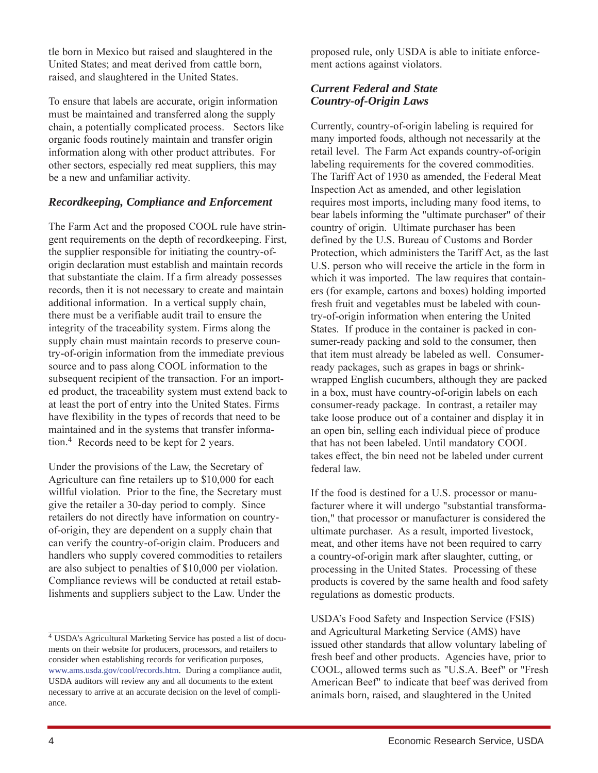tle born in Mexico but raised and slaughtered in the United States; and meat derived from cattle born, raised, and slaughtered in the United States.

To ensure that labels are accurate, origin information must be maintained and transferred along the supply chain, a potentially complicated process. Sectors like organic foods routinely maintain and transfer origin information along with other product attributes. For other sectors, especially red meat suppliers, this may be a new and unfamiliar activity.

#### *Recordkeeping, Compliance and Enforcement*

The Farm Act and the proposed COOL rule have stringent requirements on the depth of recordkeeping. First, the supplier responsible for initiating the country-oforigin declaration must establish and maintain records that substantiate the claim. If a firm already possesses records, then it is not necessary to create and maintain additional information. In a vertical supply chain, there must be a verifiable audit trail to ensure the integrity of the traceability system. Firms along the supply chain must maintain records to preserve country-of-origin information from the immediate previous source and to pass along COOL information to the subsequent recipient of the transaction. For an imported product, the traceability system must extend back to at least the port of entry into the United States. Firms have flexibility in the types of records that need to be maintained and in the systems that transfer information.<sup>4</sup> Records need to be kept for 2 years.

Under the provisions of the Law, the Secretary of Agriculture can fine retailers up to \$10,000 for each willful violation. Prior to the fine, the Secretary must give the retailer a 30-day period to comply. Since retailers do not directly have information on countryof-origin, they are dependent on a supply chain that can verify the country-of-origin claim. Producers and handlers who supply covered commodities to retailers are also subject to penalties of \$10,000 per violation. Compliance reviews will be conducted at retail establishments and suppliers subject to the Law. Under the

proposed rule, only USDA is able to initiate enforcement actions against violators.

#### *Current Federal and State Country-of-Origin Laws*

Currently, country-of-origin labeling is required for many imported foods, although not necessarily at the retail level. The Farm Act expands country-of-origin labeling requirements for the covered commodities. The Tariff Act of 1930 as amended, the Federal Meat Inspection Act as amended, and other legislation requires most imports, including many food items, to bear labels informing the "ultimate purchaser" of their country of origin. Ultimate purchaser has been defined by the U.S. Bureau of Customs and Border Protection, which administers the Tariff Act, as the last U.S. person who will receive the article in the form in which it was imported. The law requires that containers (for example, cartons and boxes) holding imported fresh fruit and vegetables must be labeled with country-of-origin information when entering the United States. If produce in the container is packed in consumer-ready packing and sold to the consumer, then that item must already be labeled as well. Consumerready packages, such as grapes in bags or shrinkwrapped English cucumbers, although they are packed in a box, must have country-of-origin labels on each consumer-ready package. In contrast, a retailer may take loose produce out of a container and display it in an open bin, selling each individual piece of produce that has not been labeled. Until mandatory COOL takes effect, the bin need not be labeled under current federal law.

If the food is destined for a U.S. processor or manufacturer where it will undergo "substantial transformation," that processor or manufacturer is considered the ultimate purchaser. As a result, imported livestock, meat, and other items have not been required to carry a country-of-origin mark after slaughter, cutting, or processing in the United States. Processing of these products is covered by the same health and food safety regulations as domestic products.

USDA's Food Safety and Inspection Service (FSIS) and Agricultural Marketing Service (AMS) have issued other standards that allow voluntary labeling of fresh beef and other products. Agencies have, prior to COOL, allowed terms such as "U.S.A. Beef" or "Fresh American Beef" to indicate that beef was derived from animals born, raised, and slaughtered in the United

<sup>4</sup> USDA's Agricultural Marketing Service has posted a list of documents on their website for producers, processors, and retailers to consider when establishing records for verification purposes, [www.ams.usda.gov/cool/records](http://www.ams.usda.gov/cool/records.htm).htm. During a compliance audit, USDA auditors will review any and all documents to the extent necessary to arrive at an accurate decision on the level of compliance.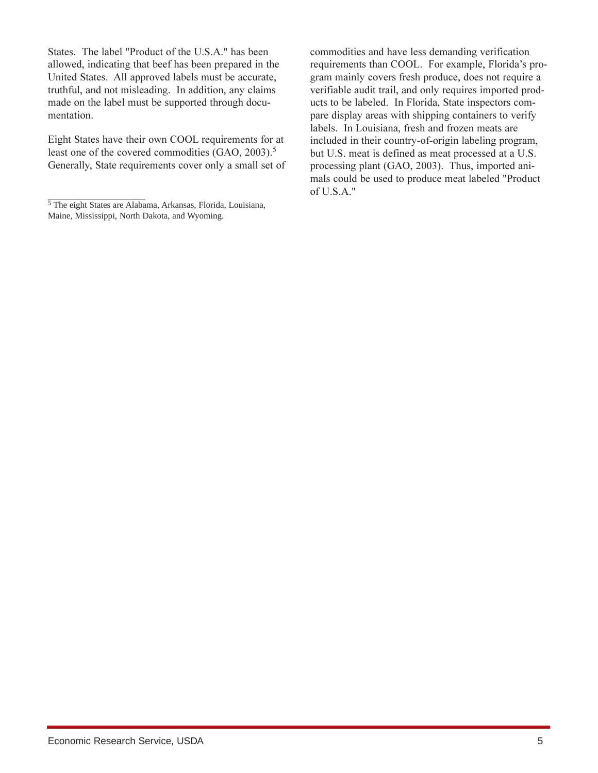States. The label "Product of the U.S.A." has been allowed, indicating that beef has been prepared in the United States. All approved labels must be accurate, truthful, and not misleading. In addition, any claims made on the label must be supported through documentation.

Eight States have their own COOL requirements for at least one of the covered commodities  $(GAO, 2003).$ <sup>5</sup> Generally, State requirements cover only a small set of

commodities and have less demanding verification requirements than COOL. For example, Florida's program mainly covers fresh produce, does not require a verifiable audit trail, and only requires imported products to be labeled. In Florida, State inspectors compare display areas with shipping containers to verify labels. In Louisiana, fresh and frozen meats are included in their country-of-origin labeling program, but U.S. meat is defined as meat processed at a U.S. processing plant (GAO, 2003). Thus, imported animals could be used to produce meat labeled "Product of U.S.A."

 $\frac{1}{5}$ The eight States are Alabama, Arkansas, Florida, Louisiana, Maine, Mississippi, North Dakota, and Wyoming.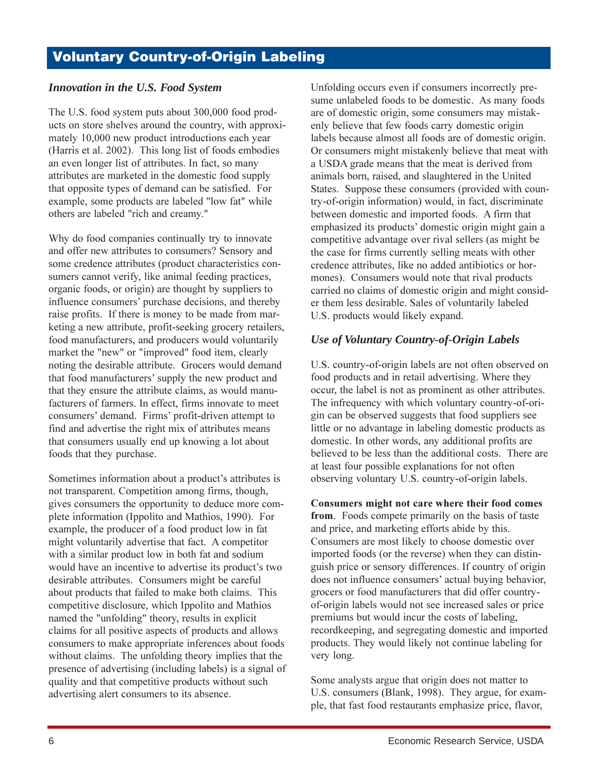#### **Innovation in the U.S. Food System**

The U.S. food system puts about 300,000 food products on store shelves around the country, with approximately 10,000 new product introductions each year (Harris et al. 2002). This long list of foods embodies an even longer list of attributes. In fact, so many attributes are marketed in the domestic food supply that opposite types of demand can be satisfied. For example, some products are labeled "low fat" while others are labeled "rich and creamy."

Why do food companies continually try to innovate and offer new attributes to consumers? Sensory and some credence attributes (product characteristics consumers cannot verify, like animal feeding practices, organic foods, or origin) are thought by suppliers to influence consumers' purchase decisions, and thereby raise profits. If there is money to be made from marketing a new attribute, profit-seeking grocery retailers, food manufacturers, and producers would voluntarily market the "new" or "improved" food item, clearly noting the desirable attribute. Grocers would demand that food manufacturers' supply the new product and that they ensure the attribute claims, as would manufacturers of farmers. In effect, firms innovate to meet consumers' demand. Firms' profit-driven attempt to find and advertise the right mix of attributes means that consumers usually end up knowing a lot about foods that they purchase.

Sometimes information about a product's attributes is not transparent. Competition among firms, though, gives consumers the opportunity to deduce more complete information (Ippolito and Mathios, 1990). For example, the producer of a food product low in fat might voluntarily advertise that fact. A competitor with a similar product low in both fat and sodium would have an incentive to advertise its product's two desirable attributes. Consumers might be careful about products that failed to make both claims. This competitive disclosure, which Ippolito and Mathios named the "unfolding" theory, results in explicit claims for all positive aspects of products and allows consumers to make appropriate inferences about foods without claims. The unfolding theory implies that the presence of advertising (including labels) is a signal of quality and that competitive products without such advertising alert consumers to its absence.

Unfolding occurs even if consumers incorrectly presume unlabeled foods to be domestic. As many foods are of domestic origin, some consumers may mistakenly believe that few foods carry domestic origin labels because almost all foods are of domestic origin. Or consumers might mistakenly believe that meat with a USDA grade means that the meat is derived from animals born, raised, and slaughtered in the United States. Suppose these consumers (provided with country-of-origin information) would, in fact, discriminate between domestic and imported foods. A firm that emphasized its products' domestic origin might gain a competitive advantage over rival sellers (as might be the case for firms currently selling meats with other credence attributes, like no added antibiotics or hormones). Consumers would note that rival products carried no claims of domestic origin and might consider them less desirable. Sales of voluntarily labeled U.S. products would likely expand.

### Use of Voluntary Country-of-Origin Labels

U.S. country-of-origin labels are not often observed on food products and in retail advertising. Where they occur, the label is not as prominent as other attributes. The infrequency with which voluntary country-of-origin can be observed suggests that food suppliers see little or no advantage in labeling domestic products as domestic. In other words, any additional profits are believed to be less than the additional costs. There are at least four possible explanations for not often observing voluntary U.S. country-of-origin labels.

Consumers might not care where their food comes from. Foods compete primarily on the basis of taste and price, and marketing efforts abide by this. Consumers are most likely to choose domestic over imported foods (or the reverse) when they can distinguish price or sensory differences. If country of origin does not influence consumers' actual buying behavior, grocers or food manufacturers that did offer countryof-origin labels would not see increased sales or price premiums but would incur the costs of labeling, recordkeeping, and segregating domestic and imported products. They would likely not continue labeling for very long.

Some analysts argue that origin does not matter to U.S. consumers (Blank, 1998). They argue, for example, that fast food restaurants emphasize price, flavor,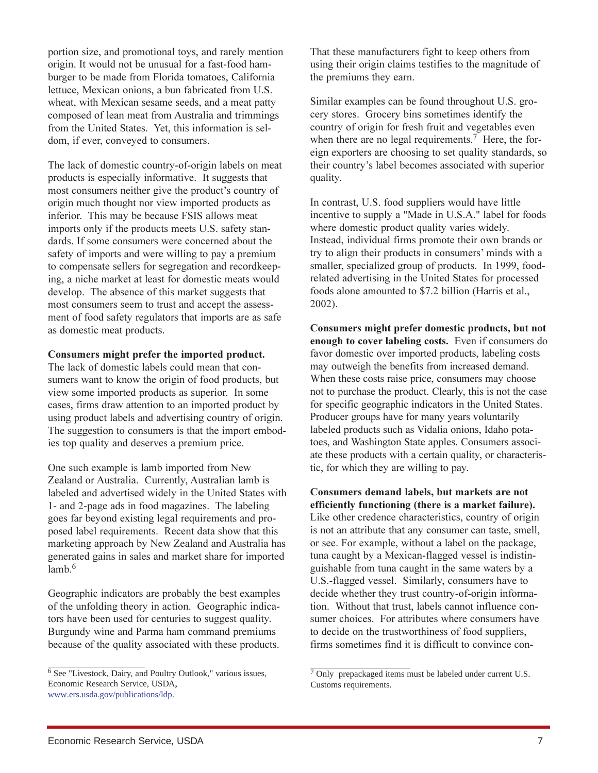portion size, and promotional toys, and rarely mention origin. It would not be unusual for a fast-food hamburger to be made from Florida tomatoes, California lettuce, Mexican onions, a bun fabricated from U.S. wheat, with Mexican sesame seeds, and a meat patty composed of lean meat from Australia and trimmings from the United States. Yet, this information is seldom, if ever, conveyed to consumers.

The lack of domestic country-of-origin labels on meat products is especially informative. It suggests that most consumers neither give the product's country of origin much thought nor view imported products as inferior. This may be because FSIS allows meat imports only if the products meets U.S. safety standards. If some consumers were concerned about the safety of imports and were willing to pay a premium to compensate sellers for segregation and recordkeeping, a niche market at least for domestic meats would develop. The absence of this market suggests that most consumers seem to trust and accept the assessment of food safety regulators that imports are as safe as domestic meat products.

#### Consumers might prefer the imported product.

The lack of domestic labels could mean that consumers want to know the origin of food products, but view some imported products as superior. In some cases, firms draw attention to an imported product by using product labels and advertising country of origin. The suggestion to consumers is that the import embodies top quality and deserves a premium price.

One such example is lamb imported from New Zealand or Australia. Currently, Australian lamb is labeled and advertised widely in the United States with 1- and 2-page ads in food magazines. The labeling goes far beyond existing legal requirements and proposed label requirements. Recent data show that this marketing approach by New Zealand and Australia has generated gains in sales and market share for imported  $lamb.6$ 

Geographic indicators are probably the best examples of the unfolding theory in action. Geographic indicators have been used for centuries to suggest quality. Burgundy wine and Parma ham command premiums because of the quality associated with these products. That these manufacturers fight to keep others from using their origin claims testifies to the magnitude of the premiums they earn.

Similar examples can be found throughout U.S. grocery stores. Grocery bins sometimes identify the country of origin for fresh fruit and vegetables even when there are no legal requirements.<sup>7</sup> Here, the foreign exporters are choosing to set quality standards, so their country's label becomes associated with superior quality.

In contrast, U.S. food suppliers would have little incentive to supply a "Made in U.S.A." label for foods where domestic product quality varies widely. Instead, individual firms promote their own brands or try to align their products in consumers' minds with a smaller, specialized group of products. In 1999, foodrelated advertising in the United States for processed foods alone amounted to \$7.2 billion (Harris et al.,  $2002$ ).

Consumers might prefer domestic products, but not enough to cover labeling costs. Even if consumers do favor domestic over imported products, labeling costs may outweigh the benefits from increased demand. When these costs raise price, consumers may choose not to purchase the product. Clearly, this is not the case for specific geographic indicators in the United States. Producer groups have for many years voluntarily labeled products such as Vidalia onions, Idaho potatoes, and Washington State apples. Consumers associate these products with a certain quality, or characteristic, for which they are willing to pay.

Consumers demand labels, but markets are not efficiently functioning (there is a market failure). Like other credence characteristics, country of origin is not an attribute that any consumer can taste, smell, or see. For example, without a label on the package, tuna caught by a Mexican-flagged vessel is indistinguishable from tuna caught in the same waters by a U.S.-flagged vessel. Similarly, consumers have to decide whether they trust country-of-origin information. Without that trust, labels cannot influence consumer choices. For attributes where consumers have to decide on the trustworthiness of food suppliers, firms sometimes find it is difficult to convince con-

<sup>&</sup>lt;sup>6</sup> See "Livestock, Dairy, and Poultry Outlook," various issues, Economic Research Service, USDA, www.ers.usda.gov/publications/ldp.

 $7$  Only prepackaged items must be labeled under current U.S. Customs requirements.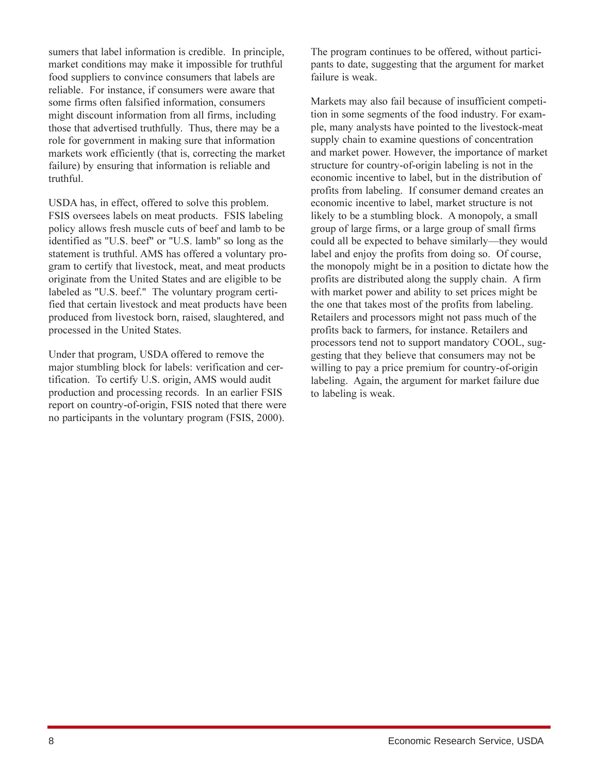sumers that label information is credible. In principle, market conditions may make it impossible for truthful food suppliers to convince consumers that labels are reliable. For instance, if consumers were aware that some firms often falsified information, consumers might discount information from all firms, including those that advertised truthfully. Thus, there may be a role for government in making sure that information markets work efficiently (that is, correcting the market failure) by ensuring that information is reliable and truthful.

USDA has, in effect, offered to solve this problem. FSIS oversees labels on meat products. FSIS labeling policy allows fresh muscle cuts of beef and lamb to be identified as "U.S. beef" or "U.S. lamb" so long as the statement is truthful. AMS has offered a voluntary program to certify that livestock, meat, and meat products originate from the United States and are eligible to be labeled as "U.S. beef." The voluntary program certified that certain livestock and meat products have been produced from livestock born, raised, slaughtered, and processed in the United States.

Under that program, USDA offered to remove the major stumbling block for labels: verification and certification. To certify U.S. origin, AMS would audit production and processing records. In an earlier FSIS report on country-of-origin, FSIS noted that there were no participants in the voluntary program (FSIS, 2000).

The program continues to be offered, without participants to date, suggesting that the argument for market failure is weak.

Markets may also fail because of insufficient competition in some segments of the food industry. For example, many analysts have pointed to the livestock-meat supply chain to examine questions of concentration and market power. However, the importance of market structure for country-of-origin labeling is not in the economic incentive to label, but in the distribution of profits from labeling. If consumer demand creates an economic incentive to label, market structure is not likely to be a stumbling block. A monopoly, a small group of large firms, or a large group of small firms could all be expected to behave similarly—they would label and enjoy the profits from doing so. Of course, the monopoly might be in a position to dictate how the profits are distributed along the supply chain. A firm with market power and ability to set prices might be the one that takes most of the profits from labeling. Retailers and processors might not pass much of the profits back to farmers, for instance. Retailers and processors tend not to support mandatory COOL, suggesting that they believe that consumers may not be willing to pay a price premium for country-of-origin labeling. Again, the argument for market failure due to labeling is weak.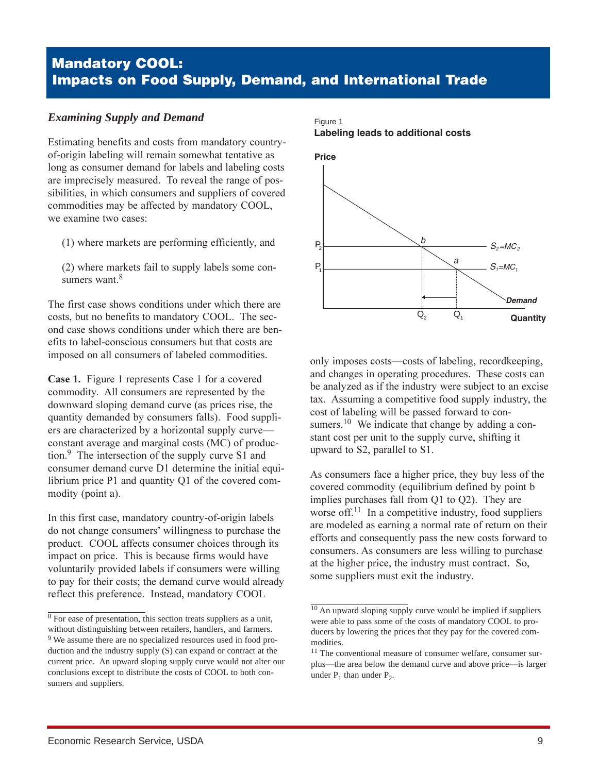# **Mandatory COOL: Impacts on Food Supply, Demand, and International Trade**

#### *Examining Supply and Demand*

Estimating benefits and costs from mandatory countryof-origin labeling will remain somewhat tentative as long as consumer demand for labels and labeling costs are imprecisely measured. To reveal the range of possibilities, in which consumers and suppliers of covered commodities may be affected by mandatory COOL, we examine two cases:

- (1) where markets are performing efficiently, and
- (2) where markets fail to supply labels some consumers want.<sup>8</sup>

The first case shows conditions under which there are costs, but no benefits to mandatory COOL. The second case shows conditions under which there are benefits to label-conscious consumers but that costs are imposed on all consumers of labeled commodities.

**Case 1.** Figure 1 represents Case 1 for a covered commodity. All consumers are represented by the downward sloping demand curve (as prices rise, the quantity demanded by consumers falls). Food suppliers are characterized by a horizontal supply curve constant average and marginal costs (MC) of production. $9$  The intersection of the supply curve S1 and consumer demand curve D1 determine the initial equilibrium price P1 and quantity Q1 of the covered commodity (point a).

In this first case, mandatory country-of-origin labels do not change consumers' willingness to purchase the product. COOL affects consumer choices through its impact on price. This is because firms would have voluntarily provided labels if consumers were willing to pay for their costs; the demand curve would already reflect this preference. Instead, mandatory COOL

#### Figure 1 **Labeling leads to additional costs**



only imposes costs—costs of labeling, recordkeeping, and changes in operating procedures. These costs can be analyzed as if the industry were subject to an excise tax. Assuming a competitive food supply industry, the cost of labeling will be passed forward to consumers.<sup>10</sup> We indicate that change by adding a constant cost per unit to the supply curve, shifting it upward to S2, parallel to S1.

As consumers face a higher price, they buy less of the covered commodity (equilibrium defined by point b implies purchases fall from  $Q1$  to  $Q2$ ). They are worse off.<sup>11</sup> In a competitive industry, food suppliers are modeled as earning a normal rate of return on their efforts and consequently pass the new costs forward to consumers. As consumers are less willing to purchase at the higher price, the industry must contract. So, some suppliers must exit the industry.

 $8\overline{8}$  For ease of presentation, this section treats suppliers as a unit, without distinguishing between retailers, handlers, and farmers. <sup>9</sup> We assume there are no specialized resources used in food production and the industry supply (S) can expand or contract at the current price. An upward sloping supply curve would not alter our conclusions except to distribute the costs of COOL to both consumers and suppliers.

<sup>&</sup>lt;sup>10</sup> An upward sloping supply curve would be implied if suppliers were able to pass some of the costs of mandatory COOL to producers by lowering the prices that they pay for the covered commodities.

<sup>&</sup>lt;sup>11</sup> The conventional measure of consumer welfare, consumer surplus—the area below the demand curve and above price—is larger under  $P_1$  than under  $P_2$ .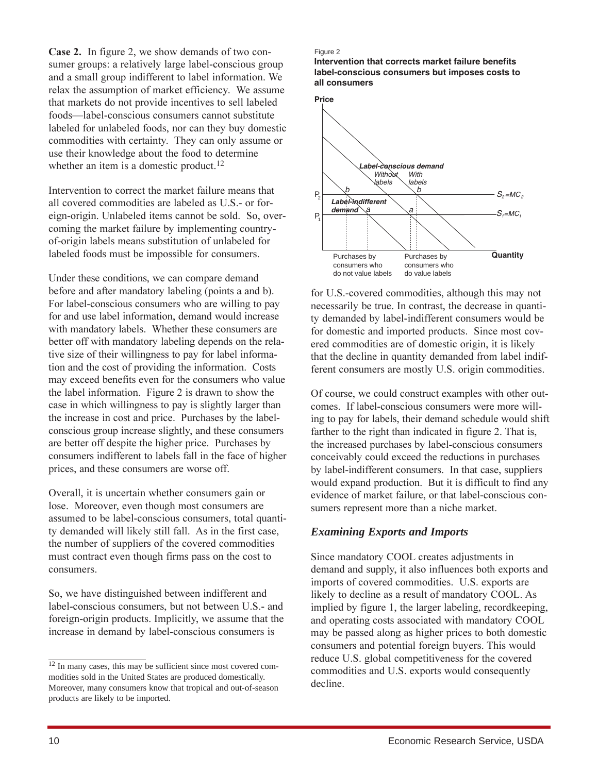**Case 2.** In figure 2, we show demands of two consumer groups: a relatively large label-conscious group and a small group indifferent to label information. We relax the assumption of market efficiency. We assume that markets do not provide incentives to sell labeled foods-label-conscious consumers cannot substitute labeled for unlabeled foods, nor can they buy domestic commodities with certainty. They can only assume or use their knowledge about the food to determine whether an item is a domestic product.<sup>12</sup>

Intervention to correct the market failure means that all covered commodities are labeled as U.S.- or foreign-origin. Unlabeled items cannot be sold. So, overcoming the market failure by implementing countryof-origin labels means substitution of unlabeled for labeled foods must be impossible for consumers.

Under these conditions, we can compare demand before and after mandatory labeling (points a and b). For label-conscious consumers who are willing to pay for and use label information, demand would increase with mandatory labels. Whether these consumers are better off with mandatory labeling depends on the relative size of their willingness to pay for label information and the cost of providing the information. Costs may exceed benefits even for the consumers who value the label information. Figure 2 is drawn to show the case in which willingness to pay is slightly larger than the increase in cost and price. Purchases by the labelconscious group increase slightly, and these consumers are better off despite the higher price. Purchases by consumers indifferent to labels fall in the face of higher prices, and these consumers are worse off.

Overall, it is uncertain whether consumers gain or lose. Moreover, even though most consumers are assumed to be label-conscious consumers, total quantity demanded will likely still fall. As in the first case, the number of suppliers of the covered commodities must contract even though firms pass on the cost to consumers.

So, we have distinguished between indifferent and label-conscious consumers, but not between U.S.- and foreign-origin products. Implicitly, we assume that the increase in demand by label-conscious consumers is

#### Figure 2

**Intervention that corrects market failure benefits label-conscious consumers but imposes costs to all consumers**



for U.S.-covered commodities, although this may not necessarily be true. In contrast, the decrease in quantity demanded by label-indifferent consumers would be for domestic and imported products. Since most covered commodities are of domestic origin, it is likely that the decline in quantity demanded from label indifferent consumers are mostly U.S. origin commodities.

Of course, we could construct examples with other outcomes. If label-conscious consumers were more willing to pay for labels, their demand schedule would shift farther to the right than indicated in figure 2. That is, the increased purchases by label-conscious consumers conceivably could exceed the reductions in purchases by label-indifferent consumers. In that case, suppliers would expand production. But it is difficult to find any evidence of market failure, or that label-conscious consumers represent more than a niche market.

#### *Examining Exports and Imports*

Since mandatory COOL creates adjustments in demand and supply, it also influences both exports and imports of covered commodities. U.S. exports are likely to decline as a result of mandatory COOL. As implied by figure 1, the larger labeling, recordkeeping, and operating costs associated with mandatory COOL may be passed along as higher prices to both domestic consumers and potential foreign buyers. This would reduce U.S. global competitiveness for the covered commodities and U.S. exports would consequently decline.

 $12$  In many cases, this may be sufficient since most covered commodities sold in the United States are produced domestically. Moreover, many consumers know that tropical and out-of-season products are likely to be imported.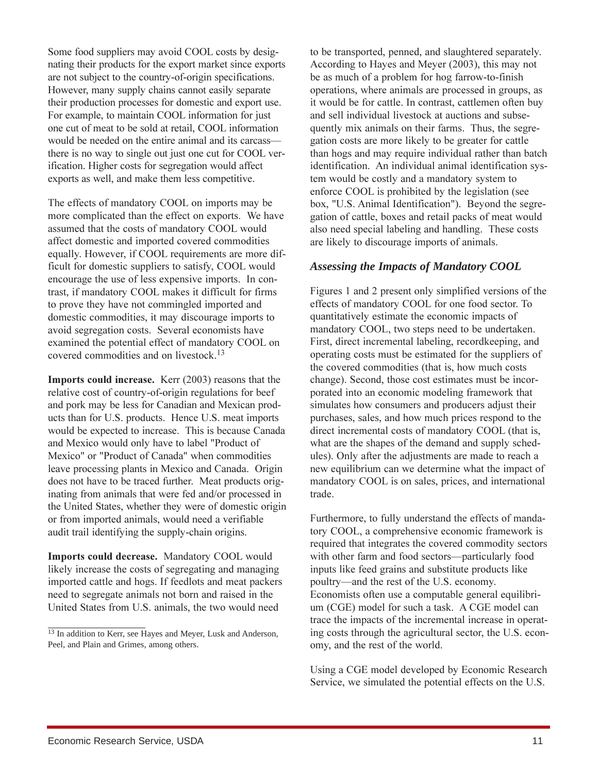Some food suppliers may avoid COOL costs by designating their products for the export market since exports are not subject to the country-of-origin specifications. However, many supply chains cannot easily separate their production processes for domestic and export use. For example, to maintain COOL information for just one cut of meat to be sold at retail, COOL information would be needed on the entire animal and its carcassthere is no way to single out just one cut for COOL verification. Higher costs for segregation would affect exports as well, and make them less competitive.

The effects of mandatory COOL on imports may be more complicated than the effect on exports. We have assumed that the costs of mandatory COOL would affect domestic and imported covered commodities equally. However, if COOL requirements are more difficult for domestic suppliers to satisfy, COOL would encourage the use of less expensive imports. In contrast, if mandatory COOL makes it difficult for firms to prove they have not commingled imported and domestic commodities, it may discourage imports to avoid segregation costs. Several economists have examined the potential effect of mandatory COOL on covered commodities and on livestock.<sup>13</sup>

Imports could increase. Kerr (2003) reasons that the relative cost of country-of-origin regulations for beef and pork may be less for Canadian and Mexican products than for U.S. products. Hence U.S. meat imports would be expected to increase. This is because Canada and Mexico would only have to label "Product of Mexico" or "Product of Canada" when commodities leave processing plants in Mexico and Canada. Origin does not have to be traced further. Meat products originating from animals that were fed and/or processed in the United States, whether they were of domestic origin or from imported animals, would need a verifiable audit trail identifying the supply-chain origins.

Imports could decrease. Mandatory COOL would likely increase the costs of segregating and managing imported cattle and hogs. If feedlots and meat packers need to segregate animals not born and raised in the United States from U.S. animals, the two would need

to be transported, penned, and slaughtered separately. According to Hayes and Meyer (2003), this may not be as much of a problem for hog farrow-to-finish operations, where animals are processed in groups, as it would be for cattle. In contrast, cattlemen often buy and sell individual livestock at auctions and subsequently mix animals on their farms. Thus, the segregation costs are more likely to be greater for cattle than hogs and may require individual rather than batch identification. An individual animal identification system would be costly and a mandatory system to enforce COOL is prohibited by the legislation (see box, "U.S. Animal Identification"). Beyond the segregation of cattle, boxes and retail packs of meat would also need special labeling and handling. These costs are likely to discourage imports of animals.

#### Assessing the Impacts of Mandatory COOL

Figures 1 and 2 present only simplified versions of the effects of mandatory COOL for one food sector. To quantitatively estimate the economic impacts of mandatory COOL, two steps need to be undertaken. First, direct incremental labeling, recordkeeping, and operating costs must be estimated for the suppliers of the covered commodities (that is, how much costs change). Second, those cost estimates must be incorporated into an economic modeling framework that simulates how consumers and producers adjust their purchases, sales, and how much prices respond to the direct incremental costs of mandatory COOL (that is, what are the shapes of the demand and supply schedules). Only after the adjustments are made to reach a new equilibrium can we determine what the impact of mandatory COOL is on sales, prices, and international trade.

Furthermore, to fully understand the effects of mandatory COOL, a comprehensive economic framework is required that integrates the covered commodity sectors with other farm and food sectors—particularly food inputs like feed grains and substitute products like poultry—and the rest of the U.S. economy. Economists often use a computable general equilibrium (CGE) model for such a task. A CGE model can trace the impacts of the incremental increase in operating costs through the agricultural sector, the U.S. economy, and the rest of the world.

Using a CGE model developed by Economic Research Service, we simulated the potential effects on the U.S.

<sup>&</sup>lt;sup>13</sup> In addition to Kerr, see Hayes and Meyer, Lusk and Anderson, Peel, and Plain and Grimes, among others.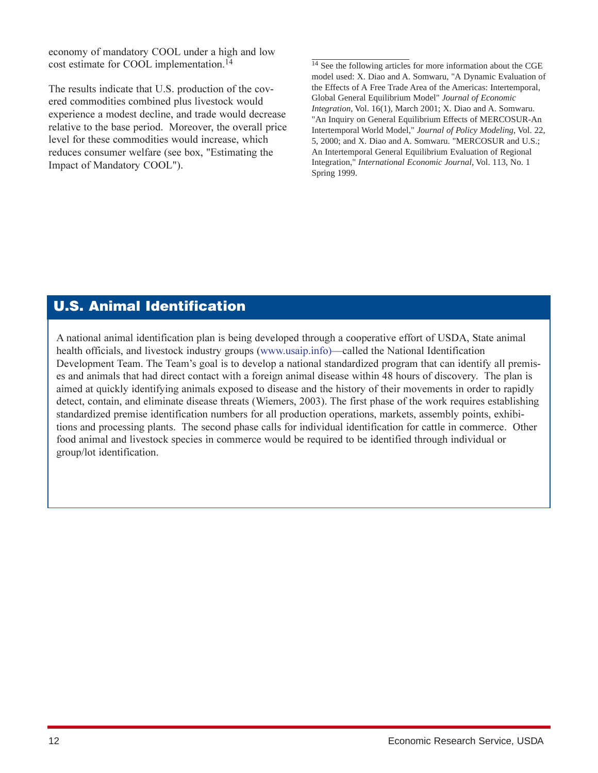economy of mandatory COOL under a high and low cost estimate for COOL implementation.<sup>14</sup>

The results indicate that U.S. production of the covered commodities combined plus livestock would experience a modest decline, and trade would decrease relative to the base period. Moreover, the overall price level for these commodities would increase, which reduces consumer welfare (see box, "Estimating the Impact of Mandatory COOL").

<sup>14</sup> See the following articles for more information about the CGE model used: X. Diao and A. Somwaru, "A Dynamic Evaluation of the Effects of A Free Trade Area of the Americas: Intertemporal, Global General Equilibrium Model" *Journal of Economic Integration*, Vol. 16(1), March 2001; X. Diao and A. Somwaru. "An Inquiry on General Equilibrium Effects of MERCOSUR-An Intertemporal World Model," *Journal of Policy Modeling*, Vol. 22, 5, 2000; and X. Diao and A. Somwaru. "MERCOSUR and U.S.; An Intertemporal General Equilibrium Evaluation of Regional Integration," *International Economic Journal*, Vol. 113, No. 1 Spring 1999.

# **U.S. Animal Identification**

A national animal identification plan is being developed through a cooperative effort of USDA, State animal health officials, and livestock industry groups (www.usaip.info)—called the National Identification Development Team. The Team's goal is to develop a national standardized program that can identify all premises and animals that had direct contact with a foreign animal disease within 48 hours of discovery. The plan is aimed at quickly identifying animals exposed to disease and the history of their movements in order to rapidly detect, contain, and eliminate disease threats (Wiemers, 2003). The first phase of the work requires establishing standardized premise identification numbers for all production operations, markets, assembly points, exhibitions and processing plants. The second phase calls for individual identification for cattle in commerce. Other food animal and livestock species in commerce would be required to be identified through individual or group/lot identification.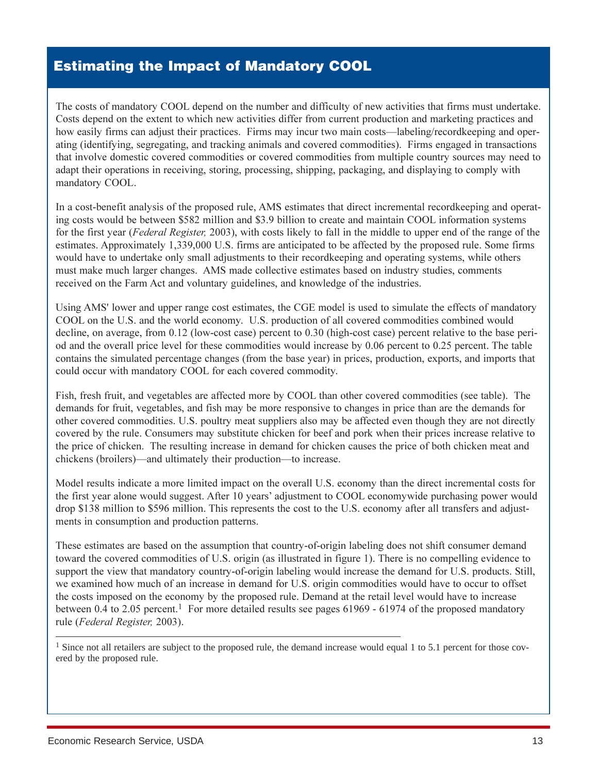# **Estimating the Impact of Mandatory COOL**

The costs of mandatory COOL depend on the number and difficulty of new activities that firms must undertake. Costs depend on the extent to which new activities differ from current production and marketing practices and how easily firms can adjust their practices. Firms may incur two main costs—labeling/recordkeeping and operating (identifying, segregating, and tracking animals and covered commodities). Firms engaged in transactions that involve domestic covered commodities or covered commodities from multiple country sources may need to adapt their operations in receiving, storing, processing, shipping, packaging, and displaying to comply with mandatory COOL.

In a cost-benefit analysis of the proposed rule, AMS estimates that direct incremental recordkeeping and operating costs would be between \$582 million and \$3.9 billion to create and maintain COOL information systems for the first year (Federal Register, 2003), with costs likely to fall in the middle to upper end of the range of the estimates. Approximately 1,339,000 U.S. firms are anticipated to be affected by the proposed rule. Some firms would have to undertake only small adjustments to their recordkeeping and operating systems, while others must make much larger changes. AMS made collective estimates based on industry studies, comments received on the Farm Act and voluntary guidelines, and knowledge of the industries.

Using AMS' lower and upper range cost estimates, the CGE model is used to simulate the effects of mandatory COOL on the U.S. and the world economy. U.S. production of all covered commodities combined would decline, on average, from 0.12 (low-cost case) percent to 0.30 (high-cost case) percent relative to the base period and the overall price level for these commodities would increase by 0.06 percent to 0.25 percent. The table contains the simulated percentage changes (from the base year) in prices, production, exports, and imports that could occur with mandatory COOL for each covered commodity.

Fish, fresh fruit, and vegetables are affected more by COOL than other covered commodities (see table). The demands for fruit, vegetables, and fish may be more responsive to changes in price than are the demands for other covered commodities. U.S. poultry meat suppliers also may be affected even though they are not directly covered by the rule. Consumers may substitute chicken for beef and pork when their prices increase relative to the price of chicken. The resulting increase in demand for chicken causes the price of both chicken meat and chickens (broilers)—and ultimately their production—to increase.

Model results indicate a more limited impact on the overall U.S. economy than the direct incremental costs for the first year alone would suggest. After 10 years' adjustment to COOL economywide purchasing power would drop \$138 million to \$596 million. This represents the cost to the U.S. economy after all transfers and adjustments in consumption and production patterns.

These estimates are based on the assumption that country-of-origin labeling does not shift consumer demand toward the covered commodities of U.S. origin (as illustrated in figure 1). There is no compelling evidence to support the view that mandatory country-of-origin labeling would increase the demand for U.S. products. Still, we examined how much of an increase in demand for U.S. origin commodities would have to occur to offset the costs imposed on the economy by the proposed rule. Demand at the retail level would have to increase between 0.4 to 2.05 percent.<sup>1</sup> For more detailed results see pages  $61969 - 61974$  of the proposed mandatory rule (Federal Register, 2003).

<sup>1</sup> Since not all retailers are subject to the proposed rule, the demand increase would equal 1 to 5.1 percent for those covered by the proposed rule.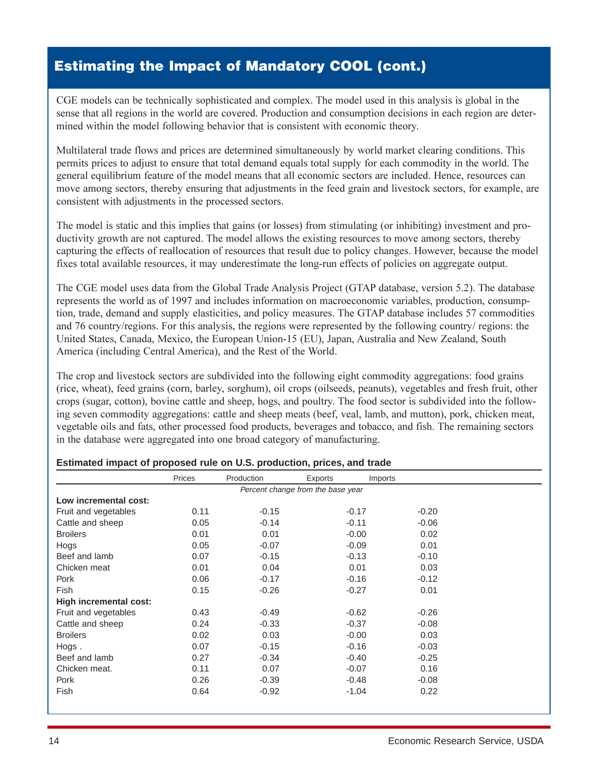# **Estimating the Impact of Mandatory COOL (cont.)**

CGE models can be technically sophisticated and complex. The model used in this analysis is global in the sense that all regions in the world are covered. Production and consumption decisions in each region are determined within the model following behavior that is consistent with economic theory.

Multilateral trade flows and prices are determined simultaneously by world market clearing conditions. This permits prices to adjust to ensure that total demand equals total supply for each commodity in the world. The general equilibrium feature of the model means that all economic sectors are included. Hence, resources can move among sectors, thereby ensuring that adjustments in the feed grain and livestock sectors, for example, are consistent with adjustments in the processed sectors.

The model is static and this implies that gains (or losses) from stimulating (or inhibiting) investment and productivity growth are not captured. The model allows the existing resources to move among sectors, thereby capturing the effects of reallocation of resources that result due to policy changes. However, because the model fixes total available resources, it may underestimate the long-run effects of policies on aggregate output.

The CGE model uses data from the Global Trade Analysis Project (GTAP database, version 5.2). The database represents the world as of 1997 and includes information on macroeconomic variables, production, consumption, trade, demand and supply elasticities, and policy measures. The GTAP database includes 57 commodities and 76 country/regions. For this analysis, the regions were represented by the following country/ regions: the United States, Canada, Mexico, the European Union-15 (EU), Japan, Australia and New Zealand, South America (including Central America), and the Rest of the World.

The crop and livestock sectors are subdivided into the following eight commodity aggregations: food grains (rice, wheat), feed grains (corn, barley, sorghum), oil crops (oilseeds, peanuts), vegetables and fresh fruit, other crops (sugar, cotton), bovine cattle and sheep, hogs, and poultry. The food sector is subdivided into the following seven commodity aggregations: cattle and sheep meats (beef, veal, lamb, and mutton), pork, chicken meat, vegetable oils and fats, other processed food products, beverages and tobacco, and fish. The remaining sectors in the database were aggregated into one broad category of manufacturing.

|                        | Prices | Production | Exports                           | Imports |  |
|------------------------|--------|------------|-----------------------------------|---------|--|
|                        |        |            | Percent change from the base year |         |  |
| Low incremental cost:  |        |            |                                   |         |  |
| Fruit and vegetables   | 0.11   | $-0.15$    | $-0.17$                           | $-0.20$ |  |
| Cattle and sheep       | 0.05   | $-0.14$    | $-0.11$                           | $-0.06$ |  |
| <b>Broilers</b>        | 0.01   | 0.01       | $-0.00$                           | 0.02    |  |
| Hogs                   | 0.05   | $-0.07$    | $-0.09$                           | 0.01    |  |
| Beef and lamb          | 0.07   | $-0.15$    | $-0.13$                           | $-0.10$ |  |
| Chicken meat           | 0.01   | 0.04       | 0.01                              | 0.03    |  |
| Pork                   | 0.06   | $-0.17$    | $-0.16$                           | $-0.12$ |  |
| Fish                   | 0.15   | $-0.26$    | $-0.27$                           | 0.01    |  |
| High incremental cost: |        |            |                                   |         |  |
| Fruit and vegetables   | 0.43   | $-0.49$    | $-0.62$                           | $-0.26$ |  |
| Cattle and sheep       | 0.24   | $-0.33$    | $-0.37$                           | $-0.08$ |  |
| <b>Broilers</b>        | 0.02   | 0.03       | $-0.00$                           | 0.03    |  |
| Hogs.                  | 0.07   | $-0.15$    | $-0.16$                           | $-0.03$ |  |
| Beef and lamb          | 0.27   | $-0.34$    | $-0.40$                           | $-0.25$ |  |
| Chicken meat.          | 0.11   | 0.07       | $-0.07$                           | 0.16    |  |
| Pork                   | 0.26   | $-0.39$    | $-0.48$                           | $-0.08$ |  |
| Fish                   | 0.64   | $-0.92$    | $-1.04$                           | 0.22    |  |

#### **Estimated impact of proposed rule on U.S. production, prices, and trade**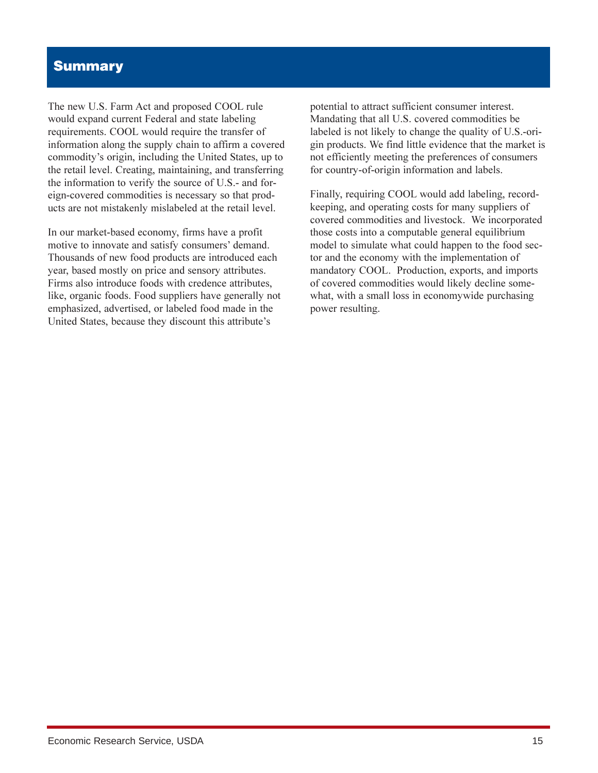### **Summary**

The new U.S. Farm Act and proposed COOL rule would expand current Federal and state labeling requirements. COOL would require the transfer of information along the supply chain to affirm a covered commodity's origin, including the United States, up to the retail level. Creating, maintaining, and transferring the information to verify the source of U.S.- and foreign-covered commodities is necessary so that products are not mistakenly mislabeled at the retail level.

In our market-based economy, firms have a profit motive to innovate and satisfy consumers' demand. Thousands of new food products are introduced each year, based mostly on price and sensory attributes. Firms also introduce foods with credence attributes, like, organic foods. Food suppliers have generally not emphasized, advertised, or labeled food made in the United States, because they discount this attribute's

potential to attract sufficient consumer interest. Mandating that all U.S. covered commodities be labeled is not likely to change the quality of U.S.-origin products. We find little evidence that the market is not efficiently meeting the preferences of consumers for country-of-origin information and labels.

Finally, requiring COOL would add labeling, recordkeeping, and operating costs for many suppliers of covered commodities and livestock. We incorporated those costs into a computable general equilibrium model to simulate what could happen to the food sector and the economy with the implementation of mandatory COOL. Production, exports, and imports of covered commodities would likely decline somewhat, with a small loss in economywide purchasing power resulting.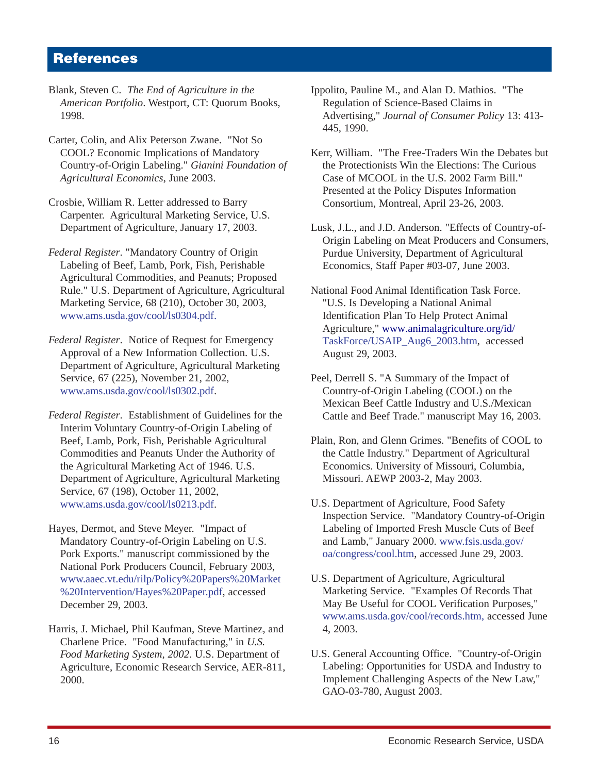### **References**

- Blank, Steven C. *The End of Agriculture in the American Portfolio*. Westport, CT: Quorum Books, 1998.
- Carter, Colin, and Alix Peterson Zwane. "Not So COOL? Economic Implications of Mandatory Country-of-Origin Labeling." *Gianini Foundation of Agricultural Economics*, June 2003.
- Crosbie, William R. Letter addressed to Barry Carpenter. Agricultural Marketing Service, U.S. Department of Agriculture, January 17, 2003.
- *Federal Register*. "Mandatory Country of Origin Labeling of Beef, Lamb, Pork, Fish, Perishable Agricultural Commodities, and Peanuts; Proposed Rule." U.S. Department of Agriculture, Agricultural Marketing Service, 68 (210), October 30, 2003, [www.ams.usda.gov/cool/ls0304.pdf](http://www.ams.usda.gov/cool/ls0304.pdf).
- *Federal Register*. Notice of Request for Emergency Approval of a New Information Collection. U.S. Department of Agriculture, Agricultural Marketing Service, 67 (225), November 21, 2002, [www.ams.usda.gov/cool/ls0302.pdf](http://www.ams.usda.gov/cool/ls0302.pdf).
- *Federal Register*. Establishment of Guidelines for the Interim Voluntary Country-of-Origin Labeling of Beef, Lamb, Pork, Fish, Perishable Agricultural Commodities and Peanuts Under the Authority of the Agricultural Marketing Act of 1946. U.S. Department of Agriculture, Agricultural Marketing Service, 67 (198), October 11, 2002, [www.ams.usda.gov/cool/ls0213.pdf](http://www.ams.usda.gov/cool/ls0213.pdf).
- Hayes, Dermot, and Steve Meyer. "Impact of Mandatory Country-of-Origin Labeling on U.S. Pork Exports." manuscript commissioned by the National Pork Producers Council, February 2003, [www.aaec.vt.edu/rilp/Policy%20Papers%20Market](http://www.aaec.vt.edu/rilp/Policy%20Papers%20Market%20Intervention/Hayes%20Paper.pdf) [%20Intervention/Hayes%20Paper.pdf](http://www.aaec.vt.edu/rilp/Policy%20Papers%20Market%20Intervention/Hayes%20Paper.pdf), accessed December 29, 2003.
- Harris, J. Michael, Phil Kaufman, Steve Martinez, and Charlene Price. "Food Manufacturing," in *U.S. Food Marketing System, 2002*. U.S. Department of Agriculture, Economic Research Service, AER-811, 2000.
- Ippolito, Pauline M., and Alan D. Mathios. "The Regulation of Science-Based Claims in Advertising," *Journal of Consumer Policy* 13: 413- 445, 1990.
- Kerr, William. "The Free-Traders Win the Debates but the Protectionists Win the Elections: The Curious Case of MCOOL in the U.S. 2002 Farm Bill." Presented at the Policy Disputes Information Consortium, Montreal, April 23-26, 2003.
- Lusk, J.L., and J.D. Anderson. "Effects of Country-of-Origin Labeling on Meat Producers and Consumers, Purdue University, Department of Agricultural Economics, Staff Paper #03-07, June 2003.
- National Food Animal Identification Task Force. "U.S. Is Developing a National Animal Identification Plan To Help Protect Animal Agriculture," [www.animalagriculture.org/id/](http://www.animalagriculture.org/id/TaskForce/USAIP_Aug6_2003.htm) [TaskForce/USAIP\\_Aug6\\_2003.htm,](http://www.animalagriculture.org/id/TaskForce/USAIP_Aug6_2003.htm) accessed August 29, 2003.
- Peel, Derrell S. "A Summary of the Impact of Country-of-Origin Labeling (COOL) on the Mexican Beef Cattle Industry and U.S./Mexican Cattle and Beef Trade." manuscript May 16, 2003.
- Plain, Ron, and Glenn Grimes. "Benefits of COOL to the Cattle Industry." Department of Agricultural Economics. University of Missouri, Columbia, Missouri. AEWP 2003-2, May 2003.
- U.S. Department of Agriculture, Food Safety Inspection Service. "Mandatory Country-of-Origin Labeling of Imported Fresh Muscle Cuts of Beef and Lamb," January 2000. [www.fsis.usda.gov/](http://www.fsis.usda.gov/oa/congress/cool.htm) [oa/congress/cool.htm](http://www.fsis.usda.gov/oa/congress/cool.htm), accessed June 29, 2003.
- U.S. Department of Agriculture, Agricultural Marketing Service. "Examples Of Records That May Be Useful for COOL Verification Purposes," [www.ams.usda.gov/cool/records.htm](http://www.ams.usda.gov/cool/records.htm), accessed June 4, 2003.
- U.S. General Accounting Office. "Country-of-Origin Labeling: Opportunities for USDA and Industry to Implement Challenging Aspects of the New Law," GAO-03-780, August 2003.